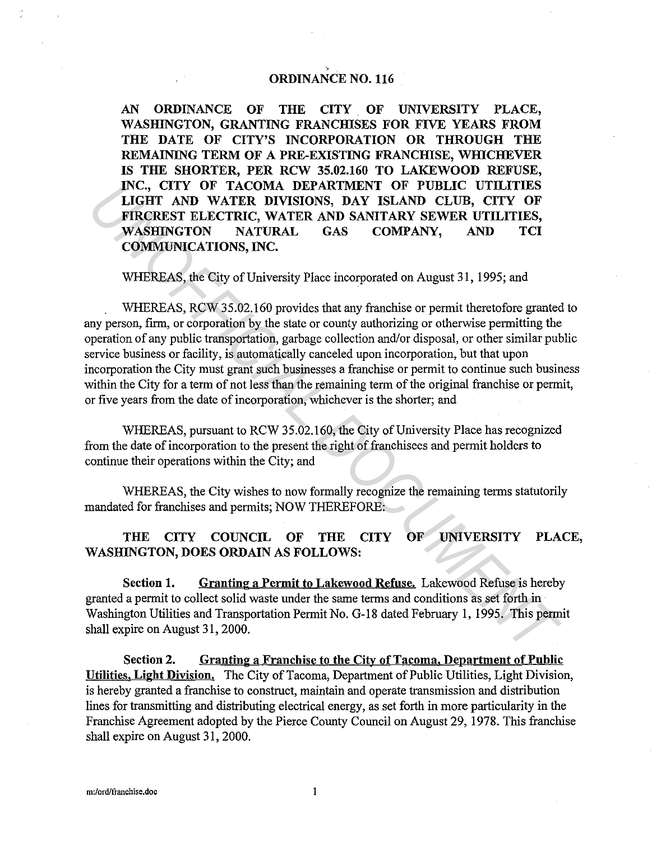## ORDINANCE NO. 116

AN ORDINANCE OF THE CITY OF UNIVERSITY PLACE, WASHINGTON, GRANTING FRANCHISES FOR FIVE YEARS FROM THE DATE OF CITY'S INCORPORATION OR THROUGH THE REMAINING TERM OF A PRE-EXISTING FRANCHISE, WHICHEVER IS THE SHORTER, PER RCW 35.02.160 TO LAKEWOOD REFUSE, INC., CITY OF TACOMA DEPARTMENT OF PUBLIC UTILITIES LIGHT AND WATER DIVISIONS, DAY ISLAND CLUB, CITY OF FIRCREST ELECTRIC, WATER AND SANITARY SEWER UTILITIES, WASHINGTON NATURAL GAS COMPANY, AND TCI COMMUNICATIONS, INC.

WHEREAS, the City of University Place incorporated on August 31, 1995; and

WHEREAS, RCW 35.02.160 provides that any franchise or permit theretofore granted to any person, firm, or corporation by the state or county authorizing or otherwise permitting the operation of any public transportation, garbage collection and/or disposal, or other similar public service business or facility, is automatically canceled upon incorporation, but that upon incorporation the City must grant such businesses a franchise or permit to continue such business within the City for a term of not less than the remaining term of the original franchise or permit, or five years from the date of incorporation, whichever is the shorter; and INC., CITY OF TACOMA DEPARTMENT OF PUBLIC UTILITIES,<br>
LIGHT AND WATER DIVISIONS, DAY ISLAND CLUB, CITY OF<br>
FIRGREST ELECTRIC, WATER AND SANTARY SEWER UTILITIES,<br>
WASHINGTON NATURAL GAS COMPANY, AND TCI<br>
COMMUNICATIONS, INC

WHEREAS, pursuant to RCW 35.02.160, the City of University Place has recognized from the date of incorporation to the present the right of franchisees and permit holders to continue their operations within the City; and

WHEREAS, the City wishes to now formally recognize the remaining terms statutorily mandated for franchises and permits; NOW THEREFORE:

## THE CITY COUNCIL OF THE CITY OF UNIVERSITY PLACE, WASHINGTON, DOES ORDAIN AS FOLLOWS:

Section 1. Granting a Permit to Lakewood Refuse. Lakewood Refuse is hereby granted a permit to collect solid waste under the same terms and conditions as set forth in Washington Utilities and Transportation Permit No. G-18 dated February 1, 1995. This permit shall expire on August 31, 2000.

Section 2. Granting a Franchise to the City of Tacoma, Department of Public Utilities. Light Division. The City of Tacoma, Department of Public Utilities, Light Division, is hereby granted a franchise to construct, maintain and operate transmission and distribution lines for transmitting and distributing electrical energy, as set forth in more particularity in the Franchise Agreement adopted by the Pierce County Council on August 29, 1978. This franchise shall expire on August 31, 2000.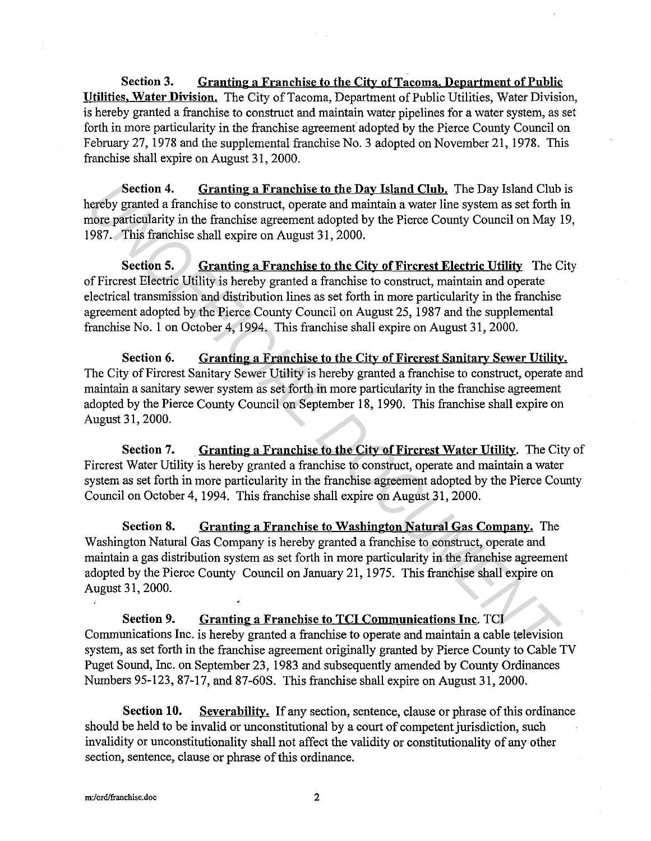**Section 3. Granting a Franchise to the City of Tacoma. Department of Public Utilities. Water Division.** The City of Tacoma, Department of Public Utilities, Water Division, is hereby granted a franchise to construct and maintain water pipelines for a water system, as set forth in more particularity in the franchise agreement adopted by the Pierce County Council on February 27, 1978 and the supplemental franchise No. 3 adopted on November 21, 1978. This franchise shall expire on August 31, 2000.

**Section 4.** Granting a Franchise to the Day Island Club. The Day Island Club is hereby granted a franchise to construct, operate and maintain a water line system as set forth in more particularity in the franchise agreement adopted by the Pierce County Council on May 19, 1987. This franchise shall expire on August 31, 2000.

**Section 5.** Granting a Franchise to the City of Fircrest Electric Utility The City of Fircrest Electric Utility is hereby granted a franchise to construct, maintain and operate electrical transmission and distribution lines as set forth in more particularity in the franchise agreement adopted by the Pierce County Council on August 25, 1987 and the supplemental franchise No. 1 on October 4, 1994. This franchise shall expire on August 31, 2000.

**Section 6. Granting a Franchise to the City of Fircrest Sanitary Sewer Utility.**  The City of Fircrest Sanitary Sewer Utility is hereby granted a franchise to construct, operate and maintain a sanitary sewer system as set forth in more particularity in the franchise agreement adopted by the Pierce County Council on September 18, 1990. This franchise shall expire on August 31, 2000.

**Section 7. Granting a Franchise to the City of Fircrest Water Utility.** The City of Fircrest Water Utility is hereby granted a franchise to construct, operate and maintain a water system as set forth in more particularity in the franchise agreement adopted by the Pierce County Council on October 4, 1994. This franchise shall expire on August 31, 2000.

**Section 8. Granting a Franchise to Washington Natural Gas Company.** The Washington Natural Gas Company is hereby granted a franchise to construct, operate and maintain a gas distribution system as set forth in more particularity in the franchise agreement adopted by the Pierce County Council on January 21, 1975. This franchise shall expire on August 31, 2000. **Section 4. Cranting a Franchise to the Day Island Club.** The Day Island Club<br> **Energy granted a franchise to construct, operate and minimia a watter line system as set forth in<br>
the proceeding a Franchise to the City of F** 

**Section 9. Granting a Franchise to TCI Communications Inc.** TCI Communications Inc. is hereby granted a franchise to operate and maintain a cable television system, as set forth in the franchise agreement originally granted by Pierce County to Cable TV Puget Sound, Inc. on September 23, 1983 and subsequently amended by County Ordinances Numbers 95-123, 87-17, and 87-608. This franchise shall expire on August 31, 2000.

**Section 10.** Severability. If any section, sentence, clause or phrase of this ordinance should be held to be invalid or unconstitutional by a court of competent jurisdiction, such invalidity or unconstitutionality shall not affect the validity or constitutionality of any other section, sentence, clause or phrase of this ordinance.